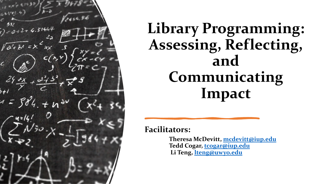

## **Library Programming: Assessing, Reflecting, and Communicating Impact**

**Facilitators:**

**Theresa McDevitt, [mcdevitt@iup.edu](mailto:mcdevitt@iup.edu) Tedd Cogar, [tcogar@iup.edu](mailto:tcogar@iup.edu) Li Teng, [lteng@uwyo.edu](mailto:lteng@uwyo.edu)**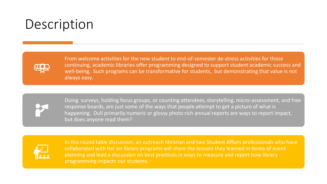### Description



From welcome activities for the new student to end-of-semester de-stress activities for those continuing, academic libraries offer programming designed to support student academic success and well-being. Such programs can be transformative for students, but demonstrating that value is not always easy.



Doing surveys, holding focus groups, or counting attendees, storytelling, micro-assessment, and free response boards, are just some of the ways that people attempt to get a picture of what is happening. Dull primarily numeric or glossy photo rich annual reports are ways to report impact, but does anyone read them?



In this round table discussion, an outreach librarian and two Student Affairs professionals who have collaborated with her on library programs will share the lessons they learned in terms of event planning and lead a discussion on best practices in ways to measure and report how library programming impacts our students.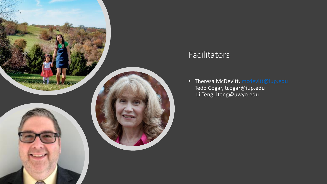

#### Facilitators

• Theresa McDevitt, [mcdevitt@iup.edu](mailto:mcdevitt@iup.edu) Tedd Cogar, tcogar@iup.edu Li Teng, lteng@uwyo.edu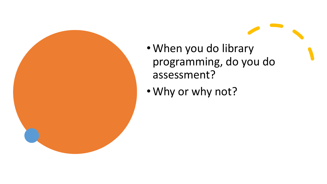

- When you do library programming, do you do assessment?
- Why or why not?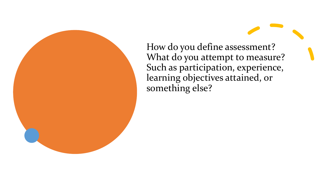How do you define assessment? What do you attempt to measure? Such as participation, experience, learning objectives attained, or something else?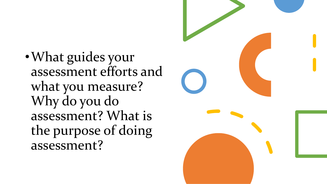•What guides your assessment efforts and what you measure? Why do you do assessment? What is the purpose of doing assessment?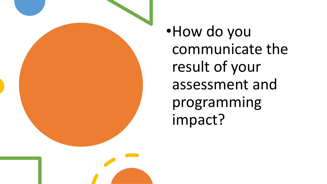

•How do you communicate the result of your assessment and programming impact?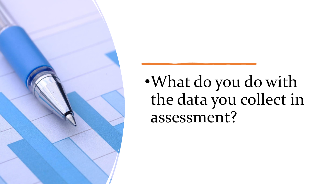

•What do you do with the data you collect in assessment?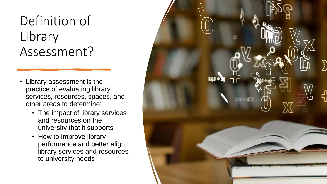### Definition of Library Assessment?

- Library assessment is the practice of evaluating library services, resources, spaces, and other areas to determine:
	- The impact of library services and resources on the university that it supports
	- How to improve library performance and better align library services and resources to university needs

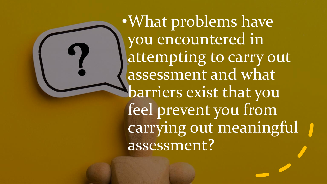•What problems have you encountered in attempting to carry out assessment and what barriers exist that you feel prevent you from carrying out meaningful assessment?